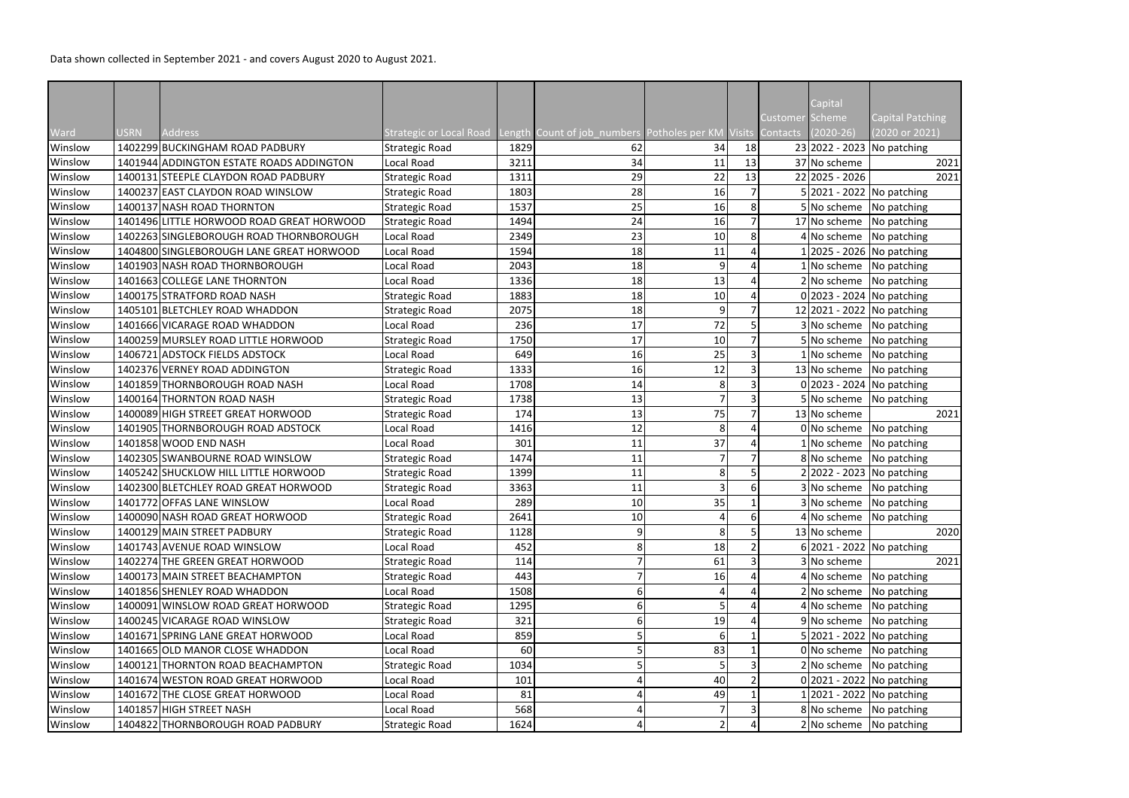Data shown collected in September 2021 - and covers August 2020 to August 2021.

|         |             |                                           |                                |      |                                                             |                         |          | Capital<br>Customer Scheme     | <b>Capital Patching</b> |
|---------|-------------|-------------------------------------------|--------------------------------|------|-------------------------------------------------------------|-------------------------|----------|--------------------------------|-------------------------|
| Ward    | <b>USRN</b> | <b>Address</b>                            | <b>Strategic or Local Road</b> |      | Length Count of job_numbers Potholes per KM Visits Contacts |                         |          | $(2020-26)$                    | (2020 or 2021)          |
| Winslow |             | 1402299 BUCKINGHAM ROAD PADBURY           | <b>Strategic Road</b>          | 1829 | 62                                                          | 34                      | 18       | 23 2022 - 2023 No patching     |                         |
| Winslow |             | 1401944 ADDINGTON ESTATE ROADS ADDINGTON  | <b>Local Road</b>              | 3211 | 34                                                          | 11                      | 13       | 37 No scheme                   | 2021                    |
| Winslow |             | 1400131 STEEPLE CLAYDON ROAD PADBURY      | <b>Strategic Road</b>          | 1311 | 29                                                          | 22                      | 13       | 22 2025 - 2026                 | 2021                    |
| Winslow |             | 1400237 EAST CLAYDON ROAD WINSLOW         | <b>Strategic Road</b>          | 1803 | 28                                                          | 16                      |          | 5 2021 - 2022 No patching      |                         |
| Winslow |             | 1400137 NASH ROAD THORNTON                | <b>Strategic Road</b>          | 1537 | 25                                                          | 16                      | 8        | 5 No scheme                    | No patching             |
| Winslow |             | 1401496 LITTLE HORWOOD ROAD GREAT HORWOOD | Strategic Road                 | 1494 | 24                                                          | 16                      |          | 17 No scheme No patching       |                         |
| Winslow |             | 1402263 SINGLEBOROUGH ROAD THORNBOROUGH   | <b>Local Road</b>              | 2349 | 23                                                          | 10                      |          | 4 No scheme No patching        |                         |
| Winslow |             | 1404800 SINGLEBOROUGH LANE GREAT HORWOOD  | <b>Local Road</b>              | 1594 | 18                                                          | 11                      |          |                                | 2025 - 2026 No patching |
| Winslow |             | 1401903 NASH ROAD THORNBOROUGH            | Local Road                     | 2043 | 18                                                          | 9                       |          | No scheme   No patching        |                         |
| Winslow |             | 1401663 COLLEGE LANE THORNTON             | Local Road                     | 1336 | 18                                                          | 13                      |          | 2 No scheme No patching        |                         |
| Winslow |             | 1400175 STRATFORD ROAD NASH               | <b>Strategic Road</b>          | 1883 | 18                                                          | 10                      |          | $0$  2023 - 2024   No patching |                         |
| Winslow |             | 1405101 BLETCHLEY ROAD WHADDON            | <b>Strategic Road</b>          | 2075 | 18                                                          | 9                       |          | 12 2021 - 2022 No patching     |                         |
| Winslow |             | 1401666 VICARAGE ROAD WHADDON             | Local Road                     | 236  | 17                                                          | 72                      |          | 3 No scheme No patching        |                         |
| Winslow |             | 1400259 MURSLEY ROAD LITTLE HORWOOD       | <b>Strategic Road</b>          | 1750 | 17                                                          | 10                      |          | 5 No scheme No patching        |                         |
| Winslow |             | 1406721 ADSTOCK FIELDS ADSTOCK            | Local Road                     | 649  | 16                                                          | 25                      |          | No scheme.                     | No patching             |
| Winslow |             | 1402376 VERNEY ROAD ADDINGTON             | <b>Strategic Road</b>          | 1333 | 16                                                          | 12                      |          | 13 No scheme No patching       |                         |
| Winslow |             | 1401859 THORNBOROUGH ROAD NASH            | Local Road                     | 1708 | 14                                                          | 8                       |          | $0 2023 - 2024 $ No patching   |                         |
| Winslow |             | 1400164 THORNTON ROAD NASH                | <b>Strategic Road</b>          | 1738 | 13                                                          |                         |          | 5 No scheme No patching        |                         |
| Winslow |             | 1400089 HIGH STREET GREAT HORWOOD         | <b>Strategic Road</b>          | 174  | 13                                                          | 75                      |          | 13 No scheme                   | 2021                    |
| Winslow |             | 1401905 THORNBOROUGH ROAD ADSTOCK         | Local Road                     | 1416 | 12                                                          | 8                       |          | 0 No scheme                    | No patching             |
| Winslow |             | 1401858 WOOD END NASH                     | Local Road                     | 301  | 11                                                          | 37                      |          | 1 No scheme                    | No patching             |
| Winslow |             | 1402305 SWANBOURNE ROAD WINSLOW           | <b>Strategic Road</b>          | 1474 | 11                                                          |                         |          | 8 No scheme                    | No patching             |
| Winslow |             | 1405242 SHUCKLOW HILL LITTLE HORWOOD      | <b>Strategic Road</b>          | 1399 | 11                                                          | 8                       |          | 22022 - 2023 No patching       |                         |
| Winslow |             | 1402300 BLETCHLEY ROAD GREAT HORWOOD      | <b>Strategic Road</b>          | 3363 | 11                                                          |                         |          | 3 No scheme No patching        |                         |
| Winslow |             | 1401772 OFFAS LANE WINSLOW                | <b>Local Road</b>              | 289  | 10 <sup>1</sup>                                             | 35                      |          | 3 No scheme   No patching      |                         |
| Winslow |             | 1400090 NASH ROAD GREAT HORWOOD           | <b>Strategic Road</b>          | 2641 | 10                                                          |                         | $6 \mid$ | 4 No scheme                    | No patching             |
| Winslow |             | 1400129 MAIN STREET PADBURY               | <b>Strategic Road</b>          | 1128 | 9                                                           | 8                       |          | 13 No scheme                   | 2020                    |
| Winslow |             | 1401743 AVENUE ROAD WINSLOW               | Local Road                     | 452  | 8                                                           | 18                      |          | 6 2021 - 2022 No patching      |                         |
| Winslow |             | 1402274 THE GREEN GREAT HORWOOD           | <b>Strategic Road</b>          | 114  |                                                             | 61                      |          | 3 No scheme                    | 2021                    |
| Winslow |             | 1400173 MAIN STREET BEACHAMPTON           | <b>Strategic Road</b>          | 443  |                                                             | 16                      |          | 4 No scheme                    | No patching             |
| Winslow |             | 1401856 SHENLEY ROAD WHADDON              | Local Road                     | 1508 | 6                                                           |                         |          | 2 No scheme                    | No patching             |
| Winslow |             | 1400091 WINSLOW ROAD GREAT HORWOOD        | <b>Strategic Road</b>          | 1295 | 6                                                           |                         |          | 4 No scheme                    | No patching             |
| Winslow |             | 1400245 VICARAGE ROAD WINSLOW             | <b>Strategic Road</b>          | 321  | 6                                                           | 19                      |          | 9 No scheme                    | No patching             |
| Winslow |             | 1401671 SPRING LANE GREAT HORWOOD         | Local Road                     | 859  | 5                                                           | 6                       |          | 5 2021 - 2022 No patching      |                         |
| Winslow |             | 1401665 OLD MANOR CLOSE WHADDON           | Local Road                     | 60   |                                                             | 83                      |          | 0 No scheme No patching        |                         |
| Winslow |             | 1400121 THORNTON ROAD BEACHAMPTON         | <b>Strategic Road</b>          | 1034 |                                                             |                         |          | 2 No scheme No patching        |                         |
| Winslow |             | 1401674 WESTON ROAD GREAT HORWOOD         | Local Road                     | 101  |                                                             | 40                      |          | 0 2021 - 2022 No patching      |                         |
| Winslow |             | 1401672 THE CLOSE GREAT HORWOOD           | Local Road                     | 81   |                                                             | 49                      |          | 2021 - 2022 No patching        |                         |
| Winslow |             | 1401857 HIGH STREET NASH                  | Local Road                     | 568  |                                                             |                         |          | 8 No scheme No patching        |                         |
| Winslow |             | 1404822 THORNBOROUGH ROAD PADBURY         | <b>Strategic Road</b>          | 1624 | 4                                                           | $\overline{\mathbf{c}}$ |          | 2 No scheme No patching        |                         |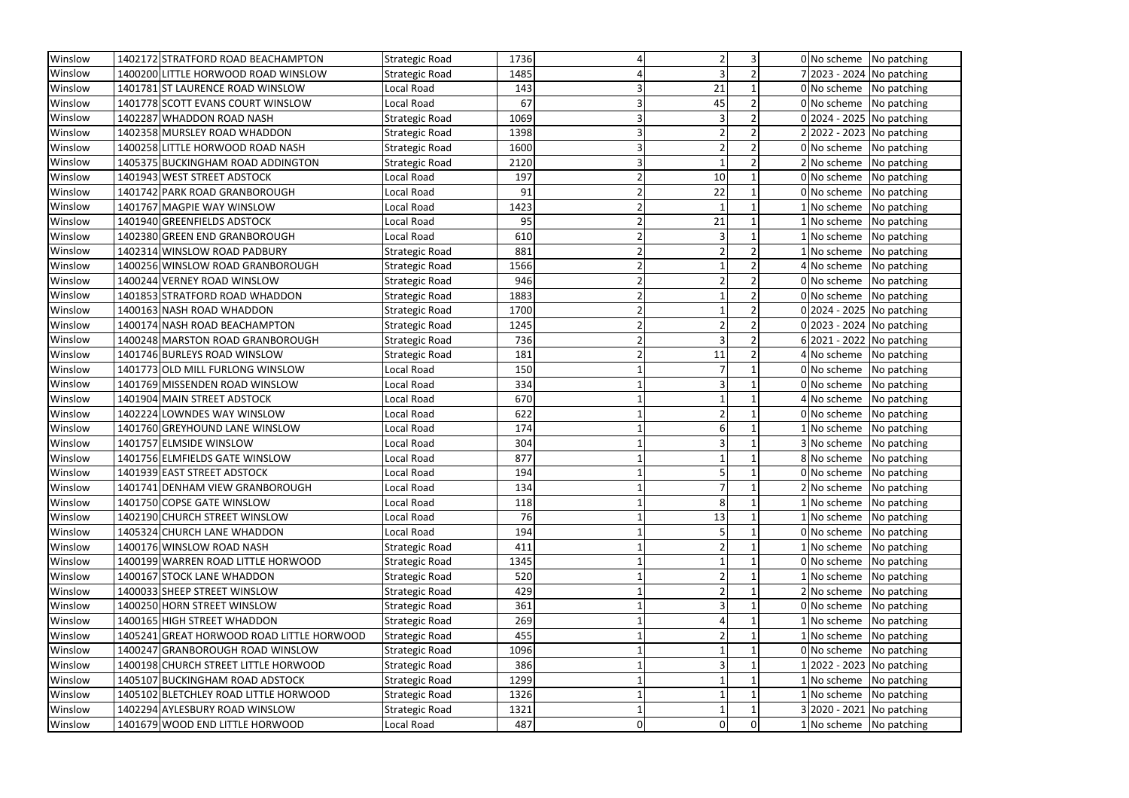| Winslow | 1402172 STRATFORD ROAD BEACHAMPTON        | <b>Strategic Road</b> | 1736      |                            | 0 No scheme No patching        |
|---------|-------------------------------------------|-----------------------|-----------|----------------------------|--------------------------------|
| Winslow | 1400200 LITTLE HORWOOD ROAD WINSLOW       | <b>Strategic Road</b> | 1485      |                            | 7 2023 - 2024 No patching      |
| Winslow | 1401781 ST LAURENCE ROAD WINSLOW          | Local Road            | 143       | 21<br>3                    | $0 $ No scheme   No patching   |
| Winslow | 1401778 SCOTT EVANS COURT WINSLOW         | Local Road            | 67        | 45                         | $0 $ No scheme   No patching   |
| Winslow | 1402287 WHADDON ROAD NASH                 | <b>Strategic Road</b> | 1069<br>3 |                            | $0 2024 - 2025 $ No patching   |
| Winslow | 1402358 MURSLEY ROAD WHADDON              | <b>Strategic Road</b> | 1398      | 3                          | 2 2022 - 2023 No patching      |
| Winslow | 1400258 LITTLE HORWOOD ROAD NASH          | <b>Strategic Road</b> | 1600      | 3                          | 0 No scheme No patching        |
| Winslow | 1405375 BUCKINGHAM ROAD ADDINGTON         | <b>Strategic Road</b> | 2120      | 3                          | 2 No scheme No patching        |
| Winslow | 1401943 WEST STREET ADSTOCK               | Local Road            | 197       | 10                         | $0 $ No scheme   No patching   |
| Winslow | 1401742 PARK ROAD GRANBOROUGH             | Local Road            | 91        | 22                         | 0 No scheme No patching        |
| Winslow | 1401767 MAGPIE WAY WINSLOW                | Local Road            | 1423      |                            | 1 No scheme No patching        |
| Winslow | 1401940 GREENFIELDS ADSTOCK               | Local Road            | 95        | 21                         | 1 No scheme No patching        |
| Winslow | 1402380 GREEN END GRANBOROUGH             | Local Road            | 610       | 2                          | 1 No scheme No patching        |
| Winslow | 1402314 WINSLOW ROAD PADBURY              | <b>Strategic Road</b> | 881       |                            | 1 No scheme No patching        |
| Winslow | 1400256 WINSLOW ROAD GRANBOROUGH          | <b>Strategic Road</b> | 1566      |                            | 4 No scheme No patching        |
| Winslow | 1400244 VERNEY ROAD WINSLOW               | <b>Strategic Road</b> | 946       |                            | 0 No scheme No patching        |
| Winslow | 1401853 STRATFORD ROAD WHADDON            | <b>Strategic Road</b> | 1883      |                            | 0 No scheme   No patching      |
| Winslow | 1400163 NASH ROAD WHADDON                 | <b>Strategic Road</b> | 1700      |                            | $0$  2024 - 2025   No patching |
| Winslow | 1400174 NASH ROAD BEACHAMPTON             | <b>Strategic Road</b> | 1245      |                            | $0 2023 - 2024 $ No patching   |
| Winslow | 1400248 MARSTON ROAD GRANBOROUGH          | <b>Strategic Road</b> | 736       |                            | 6 2021 - 2022   No patching    |
| Winslow | 1401746 BURLEYS ROAD WINSLOW              | <b>Strategic Road</b> | 181       | 11                         | 4 No scheme No patching        |
| Winslow | 1401773 OLD MILL FURLONG WINSLOW          | Local Road            | 150       |                            | 0 No scheme No patching        |
| Winslow | 1401769 MISSENDEN ROAD WINSLOW            | Local Road            | 334       |                            | 0 No scheme No patching        |
| Winslow | 1401904 MAIN STREET ADSTOCK               | Local Road            | 670       |                            | 4 No scheme No patching        |
| Winslow | 1402224 LOWNDES WAY WINSLOW               | Local Road            | 622       |                            | 0 No scheme   No patching      |
| Winslow | 1401760 GREYHOUND LANE WINSLOW            | Local Road            | 174       |                            | 1 No scheme No patching        |
| Winslow | 1401757 ELMSIDE WINSLOW                   | Local Road            | 304       |                            | 3 No scheme No patching        |
| Winslow | 1401756 ELMFIELDS GATE WINSLOW            | Local Road            | 877       |                            | 8 No scheme No patching        |
| Winslow | 1401939 EAST STREET ADSTOCK               | Local Road            | 194       |                            | 0 No scheme No patching        |
| Winslow | 1401741 DENHAM VIEW GRANBOROUGH           | Local Road            | 134       |                            | 2 No scheme No patching        |
| Winslow | 1401750 COPSE GATE WINSLOW                | Local Road            | 118       | 8                          | 1 No scheme No patching        |
| Winslow | 1402190 CHURCH STREET WINSLOW             | Local Road            | 76        | 13                         | 1 No scheme No patching        |
| Winslow | 1405324 CHURCH LANE WHADDON               | Local Road            | 194       |                            | $0 $ No scheme   No patching   |
| Winslow | 1400176 WINSLOW ROAD NASH                 | <b>Strategic Road</b> | 411       |                            | 1 No scheme No patching        |
| Winslow | 1400199 WARREN ROAD LITTLE HORWOOD        | <b>Strategic Road</b> | 1345      |                            | 0 No scheme No patching        |
| Winslow | 1400167 STOCK LANE WHADDON                | <b>Strategic Road</b> | 520       |                            | 1 No scheme No patching        |
| Winslow | 1400033 SHEEP STREET WINSLOW              | <b>Strategic Road</b> | 429       |                            | 2 No scheme No patching        |
| Winslow | 1400250 HORN STREET WINSLOW               | <b>Strategic Road</b> | 361       |                            | 0 No scheme No patching        |
| Winslow | 1400165 HIGH STREET WHADDON               | <b>Strategic Road</b> | 269       |                            | 1 No scheme No patching        |
| Winslow | 1405241 GREAT HORWOOD ROAD LITTLE HORWOOD | <b>Strategic Road</b> | 455       |                            | 1 No scheme No patching        |
| Winslow | 1400247 GRANBOROUGH ROAD WINSLOW          | <b>Strategic Road</b> | 1096      |                            | 0 No scheme No patching        |
| Winslow | 1400198 CHURCH STREET LITTLE HORWOOD      | <b>Strategic Road</b> | 386       |                            | [2022 - 2023 No patching]      |
| Winslow | 1405107 BUCKINGHAM ROAD ADSTOCK           | <b>Strategic Road</b> | 1299      |                            | $1$ No scheme No patching      |
| Winslow | 1405102 BLETCHLEY ROAD LITTLE HORWOOD     | <b>Strategic Road</b> | 1326      |                            | 1 No scheme No patching        |
| Winslow | 1402294 AYLESBURY ROAD WINSLOW            | <b>Strategic Road</b> | 1321      |                            | 3 2020 - 2021 No patching      |
| Winslow | 1401679 WOOD END LITTLE HORWOOD           | Local Road            | 487       | $\overline{0}$<br>$\Omega$ | 1 No scheme No patching        |